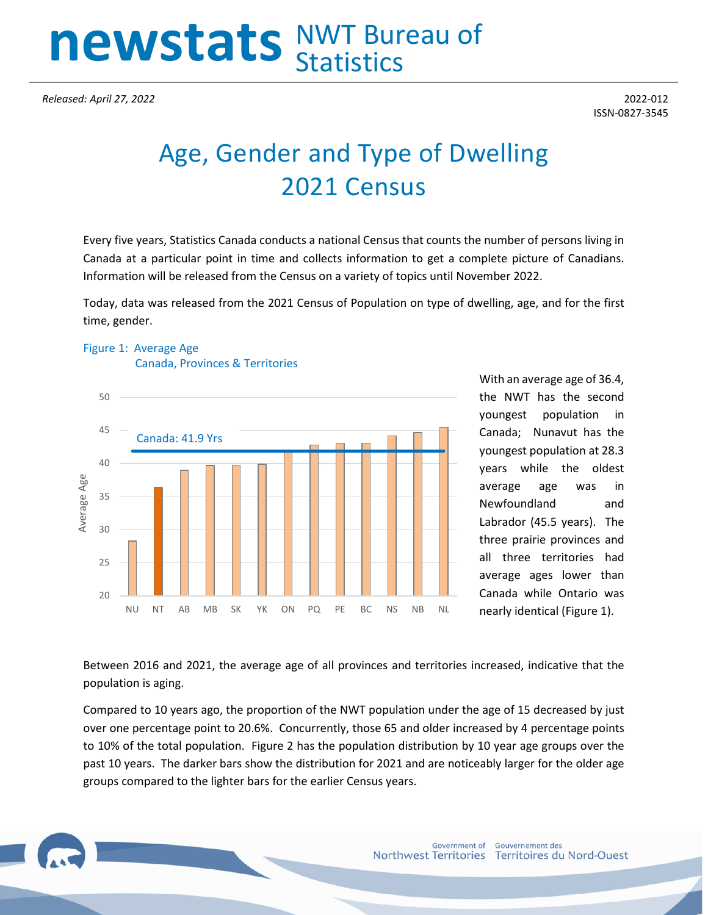# **newstats** NWT Bureau of **Statistics**

*Released: April 27, 2022* 2022-012

## Age, Gender and Type of Dwelling 2021 Census

Every five years, Statistics Canada conducts a national Census that counts the number of persons living in Canada at a particular point in time and collects information to get a complete picture of Canadians. Information will be released from the Census on a variety of topics until November 2022.

Today, data was released from the 2021 Census of Population on type of dwelling, age, and for the first time, gender.





With an average age of 36.4, the NWT has the second youngest population in Canada; Nunavut has the youngest population at 28.3 years while the oldest average age was in Newfoundland and Labrador (45.5 years). The three prairie provinces and all three territories had average ages lower than Canada while Ontario was nearly identical (Figure 1).

Between 2016 and 2021, the average age of all provinces and territories increased, indicative that the population is aging.

Compared to 10 years ago, the proportion of the NWT population under the age of 15 decreased by just over one percentage point to 20.6%. Concurrently, those 65 and older increased by 4 percentage points to 10% of the total population. Figure 2 has the population distribution by 10 year age groups over the past 10 years. The darker bars show the distribution for 2021 and are noticeably larger for the older age groups compared to the lighter bars for the earlier Census years.

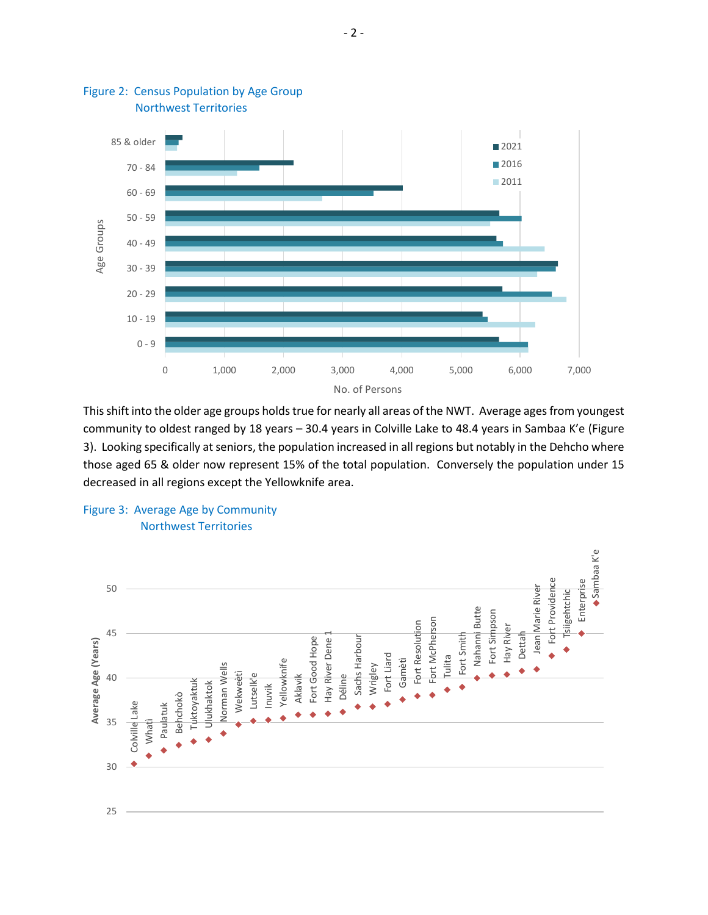

#### Figure 2: Census Population by Age Group Northwest Territories

This shift into the older age groups holds true for nearly all areas of the NWT. Average ages from youngest community to oldest ranged by 18 years – 30.4 years in Colville Lake to 48.4 years in Sambaa K'e (Figure 3). Looking specifically at seniors, the population increased in all regions but notably in the Dehcho where those aged 65 & older now represent 15% of the total population. Conversely the population under 15 decreased in all regions except the Yellowknife area.



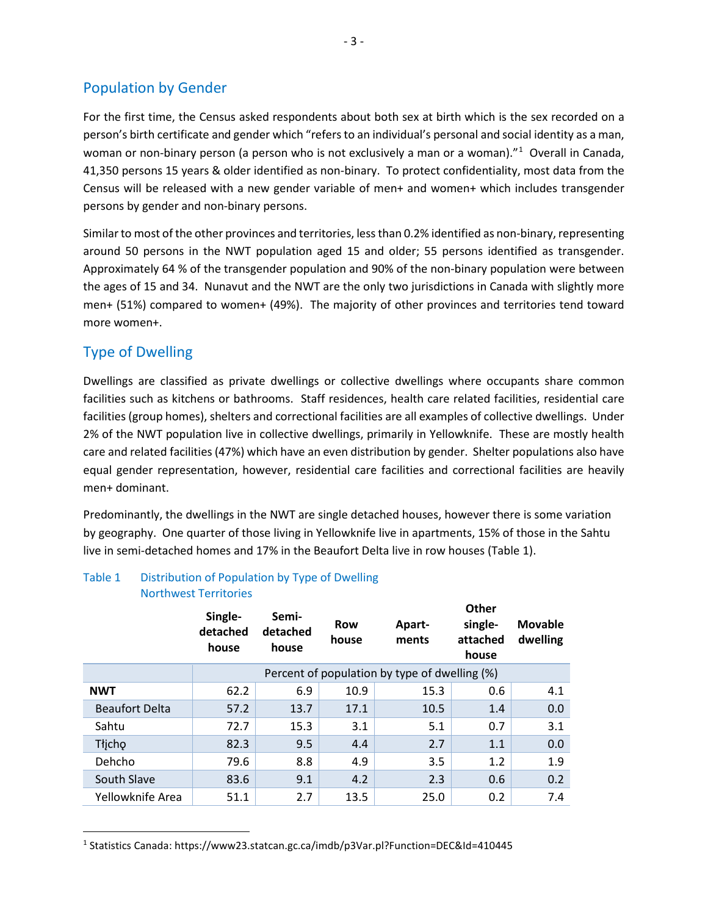## Population by Gender

For the first time, the Census asked respondents about both sex at birth which is the sex recorded on a person's birth certificate and gender which "refers to an individual's personal and social identity as a man, woman or non-binary person (a person who is not exclusively a man or a woman)."<sup>[1](#page-2-0)</sup> Overall in Canada, 41,350 persons 15 years & older identified as non-binary. To protect confidentiality, most data from the Census will be released with a new gender variable of men+ and women+ which includes transgender persons by gender and non-binary persons.

Similar to most of the other provinces and territories, less than 0.2% identified as non-binary, representing around 50 persons in the NWT population aged 15 and older; 55 persons identified as transgender. Approximately 64 % of the transgender population and 90% of the non-binary population were between the ages of 15 and 34. Nunavut and the NWT are the only two jurisdictions in Canada with slightly more men+ (51%) compared to women+ (49%). The majority of other provinces and territories tend toward more women+.

## Type of Dwelling

Dwellings are classified as private dwellings or collective dwellings where occupants share common facilities such as kitchens or bathrooms. Staff residences, health care related facilities, residential care facilities (group homes), shelters and correctional facilities are all examples of collective dwellings. Under 2% of the NWT population live in collective dwellings, primarily in Yellowknife. These are mostly health care and related facilities (47%) which have an even distribution by gender. Shelter populations also have equal gender representation, however, residential care facilities and correctional facilities are heavily men+ dominant.

Predominantly, the dwellings in the NWT are single detached houses, however there is some variation by geography. One quarter of those living in Yellowknife live in apartments, 15% of those in the Sahtu live in semi-detached homes and 17% in the Beaufort Delta live in row houses (Table 1).

|                       | Single-<br>detached<br>house | Semi-<br>detached<br>house | Row<br>house | Apart-<br>ments                               | <b>Other</b><br>single-<br>attached<br>house | <b>Movable</b><br>dwelling |
|-----------------------|------------------------------|----------------------------|--------------|-----------------------------------------------|----------------------------------------------|----------------------------|
|                       |                              |                            |              | Percent of population by type of dwelling (%) |                                              |                            |
| <b>NWT</b>            | 62.2                         | 6.9                        | 10.9         | 15.3                                          | 0.6                                          | 4.1                        |
| <b>Beaufort Delta</b> | 57.2                         | 13.7                       | 17.1         | 10.5                                          | 1.4                                          | 0.0                        |
| Sahtu                 | 72.7                         | 15.3                       | 3.1          | 5.1                                           | 0.7                                          | 3.1                        |
| Tłjcho                | 82.3                         | 9.5                        | 4.4          | 2.7                                           | 1.1                                          | 0.0                        |
| Dehcho                | 79.6                         | 8.8                        | 4.9          | 3.5                                           | 1.2                                          | 1.9                        |
| South Slave           | 83.6                         | 9.1                        | 4.2          | 2.3                                           | 0.6                                          | 0.2                        |
| Yellowknife Area      | 51.1                         | 2.7                        | 13.5         | 25.0                                          | 0.2                                          | 7.4                        |

### Table 1 Distribution of Population by Type of Dwelling Northwest Territories

<span id="page-2-0"></span><sup>1</sup> Statistics Canada: https://www23.statcan.gc.ca/imdb/p3Var.pl?Function=DEC&Id=410445